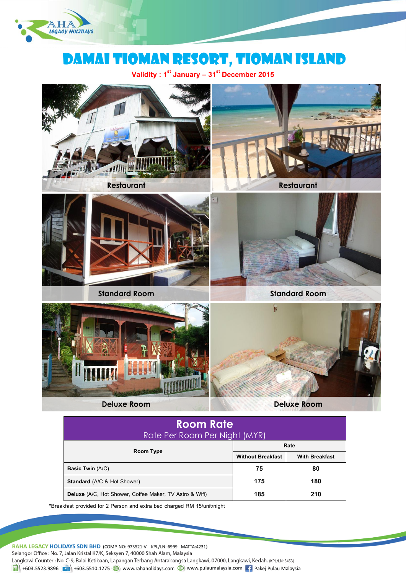

# DAMAI Tioman RESORT, TIOMAN Island

**Validity : 1st January – 31st December 2015**







**Standard Room Standard Room**







**Deluxe Room Deluxe Room**

| <b>Room Rate</b>                                               |                          |                       |  |
|----------------------------------------------------------------|--------------------------|-----------------------|--|
| Rate Per Room Per Night (MYR)                                  |                          |                       |  |
|                                                                | Rate                     |                       |  |
| Room Type                                                      | <b>Without Breakfast</b> | <b>With Breakfast</b> |  |
| <b>Basic Twin (A/C)</b>                                        | 75                       | 80                    |  |
| <b>Standard</b> (A/C & Hot Shower)                             | 175                      | 180                   |  |
| <b>Deluxe</b> (A/C, Hot Shower, Coffee Maker, TV Astro & Wifi) | 185                      | 210                   |  |

\*Breakfast provided for 2 Person and extra bed charged RM 15/unit/night

RAHA LEGACY HOLIDAYS SDN BHD (COMP. NO: 973521-V KPL/LN: 6999 MATTA:4231) Selangor Office: No. 7, Jalan Kristal K7/K, Seksyen 7, 40000 Shah Alam, Malaysia Langkawi Counter: No. C-9, Balai Ketibaan, Lapangan Terbang Antarabangsa Langkawi, 07000, Langkawi, Kedah. (KPL/LN: 3453)  $\frac{1}{21}$  +603.5523.9896 +603.5510.1275 (b) www.rahaholidays.com (b) www.pulaumalaysia.com + Pakej Pulau Malaysia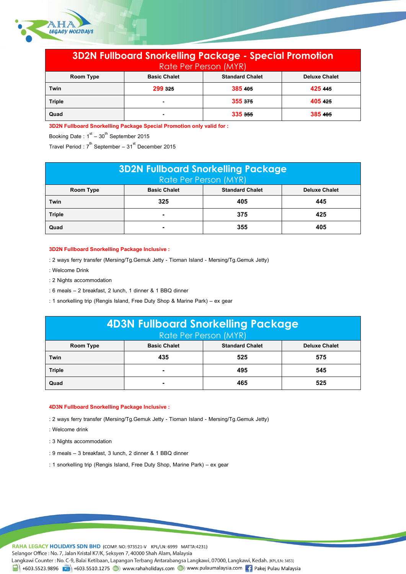

| <b>3D2N Fullboard Snorkelling Package - Special Promotion</b><br>Rate Per Person (MYR) |                     |                        |                      |
|----------------------------------------------------------------------------------------|---------------------|------------------------|----------------------|
| Room Type                                                                              | <b>Basic Chalet</b> | <b>Standard Chalet</b> | <b>Deluxe Chalet</b> |
| Twin                                                                                   | 299 325             | 385 405                | 425 445              |
| <b>Triple</b>                                                                          |                     | 355 375                | 405 425              |
| Quad                                                                                   |                     | 335 355                | 385 405              |

**3D2N Fullboard Snorkelling Package Special Promotion only valid for :**

Booking Date  $: 1<sup>st</sup> - 30<sup>th</sup>$  September 2015

Travel Period :  $7^{th}$  September –  $31^{st}$  December 2015

| <b>3D2N Fullboard Snorkelling Package</b><br>Rate Per Person (MYR) |                     |                        |                      |
|--------------------------------------------------------------------|---------------------|------------------------|----------------------|
| <b>Room Type</b>                                                   | <b>Basic Chalet</b> | <b>Standard Chalet</b> | <b>Deluxe Chalet</b> |
| Twin                                                               | 325                 | 405                    | 445                  |
| <b>Triple</b>                                                      |                     | 375                    | 425                  |
| Quad                                                               |                     | 355                    | 405                  |

# **3D2N Fullboard Snorkelling Package Inclusive :**

: 2 ways ferry transfer (Mersing/Tg.Gemuk Jetty - Tioman Island - Mersing/Tg.Gemuk Jetty)

- : Welcome Drink
- : 2 Nights accommodation
- : 6 meals 2 breakfast, 2 lunch, 1 dinner & 1 BBQ dinner
- : 1 snorkelling trip (Rengis Island, Free Duty Shop & Marine Park) ex gear

| <b>4D3N Fullboard Snorkelling Package</b><br>Rate Per Person (MYR) |                     |                        |                      |
|--------------------------------------------------------------------|---------------------|------------------------|----------------------|
| Room Type                                                          | <b>Basic Chalet</b> | <b>Standard Chalet</b> | <b>Deluxe Chalet</b> |
| Twin                                                               | 435                 | 525                    | 575                  |
| <b>Triple</b>                                                      |                     | 495                    | 545                  |
| Quad                                                               |                     | 465                    | 525                  |

# **4D3N Fullboard Snorkelling Package Inclusive :**

: 2 ways ferry transfer (Mersing/Tg.Gemuk Jetty - Tioman Island - Mersing/Tg.Gemuk Jetty)

- : Welcome drink
- : 3 Nights accommodation
- : 9 meals 3 breakfast, 3 lunch, 2 dinner & 1 BBQ dinner
- : 1 snorkelling trip (Rengis Island, Free Duty Shop, Marine Park) ex gear

RAHA LEGACY HOLIDAYS SDN BHD (COMP. NO: 973521-V KPL/LN: 6999 MATTA:4231) Selangor Office: No. 7, Jalan Kristal K7/K, Seksyen 7, 40000 Shah Alam, Malaysia Langkawi Counter: No. C-9, Balai Ketibaan, Lapangan Terbang Antarabangsa Langkawi, 07000, Langkawi, Kedah. (KPL/LN: 3453) 4603.5523.9896 (1) +603.5510.1275 (1) www.rahaholidays.com (1) www.pulaumalaysia.com [4] Pakej Pulau Malaysia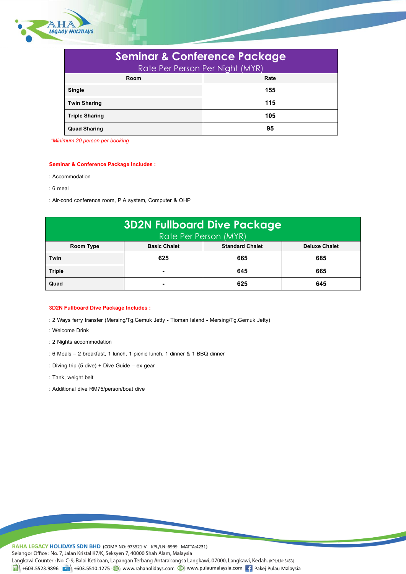

| <b>Seminar &amp; Conference Package</b> |      |  |
|-----------------------------------------|------|--|
| Rate Per Person Per Night (MYR)         |      |  |
| Room                                    | Rate |  |
| <b>Single</b>                           | 155  |  |
| <b>Twin Sharing</b>                     | 115  |  |
| <b>Triple Sharing</b>                   | 105  |  |
| <b>Quad Sharing</b>                     | 95   |  |

*\*Minimum 20 person per booking*

### **Seminar & Conference Package Includes :**

- : Accommodation
- : 6 meal
- : Air-cond conference room, P.A system, Computer & OHP

| <b>3D2N Fullboard Dive Package</b><br>Rate Per Person (MYR) |                     |                        |                      |
|-------------------------------------------------------------|---------------------|------------------------|----------------------|
| Room Type                                                   | <b>Basic Chalet</b> | <b>Standard Chalet</b> | <b>Deluxe Chalet</b> |
| Twin                                                        | 625                 | 665                    | 685                  |
| <b>Triple</b>                                               |                     | 645                    | 665                  |
| Quad                                                        |                     | 625                    | 645                  |

### **3D2N Fullboard Dive Package Includes :**

- : 2 Ways ferry transfer (Mersing/Tg.Gemuk Jetty Tioman Island Mersing/Tg.Gemuk Jetty)
- : Welcome Drink
- : 2 Nights accommodation
- : 6 Meals 2 breakfast, 1 lunch, 1 picnic lunch, 1 dinner & 1 BBQ dinner
- : Diving trip (5 dive) + Dive Guide ex gear
- : Tank, weight belt
- : Additional dive RM75/person/boat dive

RAHA LEGACY HOLIDAYS SDN BHD (COMP. NO: 973521-V KPL/LN: 6999 MATTA:4231) Selangor Office: No. 7, Jalan Kristal K7/K, Seksyen 7, 40000 Shah Alam, Malaysia Langkawi Counter: No. C-9, Balai Ketibaan, Lapangan Terbang Antarabangsa Langkawi, 07000, Langkawi, Kedah. (KPL/LN: 3453)  $\frac{1}{2}$  +603.5523.9896  $\frac{1}{2}$  +603.5510.1275  $\bigoplus$  www.rahaholidays.com  $\bigoplus$  www.pulaumalaysia.com  $\bigoplus$  Pakej Pulau Malaysia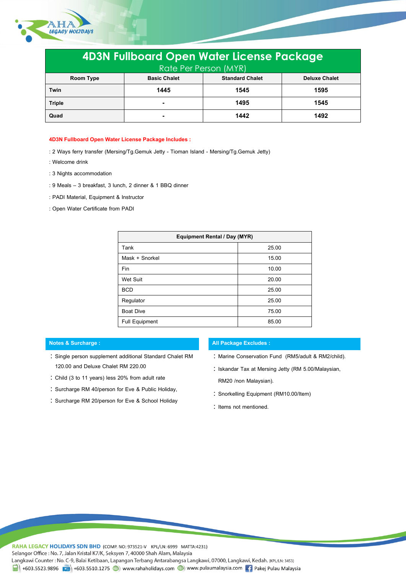

| <b>4D3N Fullboard Open Water License Package</b><br>Rate Per Person (MYR) |                     |                        |                      |
|---------------------------------------------------------------------------|---------------------|------------------------|----------------------|
| Room Type                                                                 | <b>Basic Chalet</b> | <b>Standard Chalet</b> | <b>Deluxe Chalet</b> |
| Twin                                                                      | 1445                | 1545                   | 1595                 |
| <b>Triple</b>                                                             |                     | 1495                   | 1545                 |
| Quad                                                                      |                     | 1442                   | 1492                 |

## **4D3N Fullboard Open Water License Package Includes :**

- : 2 Ways ferry transfer (Mersing/Tg.Gemuk Jetty Tioman Island Mersing/Tg.Gemuk Jetty)
- : Welcome drink
- : 3 Nights accommodation
- : 9 Meals 3 breakfast, 3 lunch, 2 dinner & 1 BBQ dinner
- : PADI Material, Equipment & Instructor
- : Open Water Certificate from PADI

| Equipment Rental / Day (MYR) |       |  |
|------------------------------|-------|--|
| Tank                         | 25.00 |  |
| Mask + Snorkel               | 15.00 |  |
| Fin                          | 10.00 |  |
| Wet Suit                     | 20.00 |  |
| <b>BCD</b>                   | 25.00 |  |
| Regulator                    | 25.00 |  |
| <b>Boat Dive</b>             | 75.00 |  |
| <b>Full Equipment</b>        | 85.00 |  |

- Single person supplement additional Standard Chalet RM 120.00 and Deluxe Chalet RM 220.00
- Child (3 to 11 years) less 20% from adult rate
- : Surcharge RM 40/person for Eve & Public Holiday,
- Surcharge RM 20/person for Eve & School Holiday

# **Notes & Surcharge : All Package Excludes :**

- : Marine Conservation Fund (RM5/adult & RM2/child).
- : Iskandar Tax at Mersing Jetty (RM 5.00/Malaysian, RM20 /non Malaysian).
- : Snorkelling Equipment (RM10.00/Item)
- : Items not mentioned.

RAHA LEGACY HOLIDAYS SDN BHD (COMP. NO: 973521-V KPL/LN: 6999 MATTA:4231) Selangor Office : No. 7, Jalan Kristal K7/K, Seksyen 7, 40000 Shah Alam, Malaysia Langkawi Counter: No. C-9, Balai Ketibaan, Lapangan Terbang Antarabangsa Langkawi, 07000, Langkawi, Kedah. (KPL/LN: 3453) 4603.5523.9896 (1) +603.5510.1275 (1) www.rahaholidays.com (1) www.pulaumalaysia.com [4] Pakej Pulau Malaysia